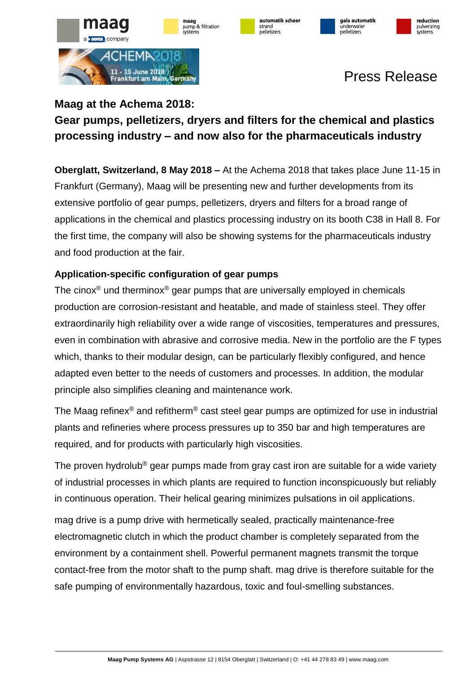









# Press Release

### **Maag at the Achema 2018: Gear pumps, pelletizers, dryers and filters for the chemical and plastics processing industry – and now also for the pharmaceuticals industry**

**Oberglatt, Switzerland, 8 May 2018 –** At the Achema 2018 that takes place June 11-15 in Frankfurt (Germany), Maag will be presenting new and further developments from its extensive portfolio of gear pumps, pelletizers, dryers and filters for a broad range of applications in the chemical and plastics processing industry on its booth C38 in Hall 8. For the first time, the company will also be showing systems for the pharmaceuticals industry and food production at the fair.

### **Application-specific configuration of gear pumps**

The cinox<sup>®</sup> und therminox<sup>®</sup> gear pumps that are universally employed in chemicals production are corrosion-resistant and heatable, and made of stainless steel. They offer extraordinarily high reliability over a wide range of viscosities, temperatures and pressures, even in combination with abrasive and corrosive media. New in the portfolio are the F types which, thanks to their modular design, can be particularly flexibly configured, and hence adapted even better to the needs of customers and processes. In addition, the modular principle also simplifies cleaning and maintenance work.

The Maag refinex® and refitherm® cast steel gear pumps are optimized for use in industrial plants and refineries where process pressures up to 350 bar and high temperatures are required, and for products with particularly high viscosities.

The proven hydrolub<sup>®</sup> gear pumps made from gray cast iron are suitable for a wide variety of industrial processes in which plants are required to function inconspicuously but reliably in continuous operation. Their helical gearing minimizes pulsations in oil applications.

mag drive is a pump drive with hermetically sealed, practically maintenance-free electromagnetic clutch in which the product chamber is completely separated from the environment by a containment shell. Powerful permanent magnets transmit the torque contact-free from the motor shaft to the pump shaft. mag drive is therefore suitable for the safe pumping of environmentally hazardous, toxic and foul-smelling substances.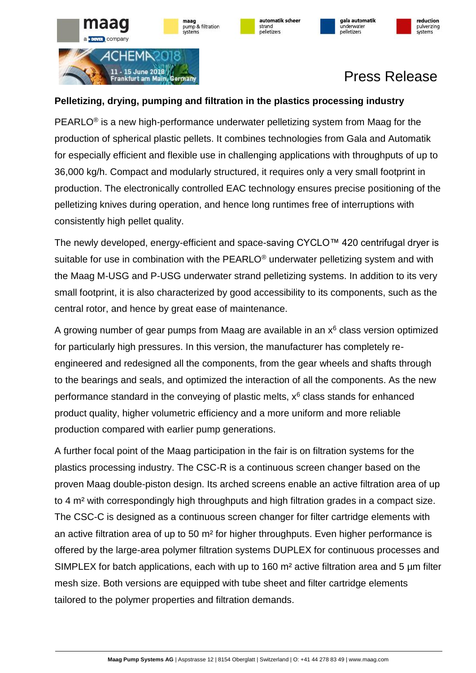











# Press Release

#### **Pelletizing, drying, pumping and filtration in the plastics processing industry**

maag pump & filtration

PEARLO® is a new high-performance underwater pelletizing system from Maag for the production of spherical plastic pellets. It combines technologies from Gala and Automatik for especially efficient and flexible use in challenging applications with throughputs of up to 36,000 kg/h. Compact and modularly structured, it requires only a very small footprint in production. The electronically controlled EAC technology ensures precise positioning of the pelletizing knives during operation, and hence long runtimes free of interruptions with consistently high pellet quality.

The newly developed, energy-efficient and space-saving CYCLO™ 420 centrifugal dryer is suitable for use in combination with the PEARLO<sup>®</sup> underwater pelletizing system and with the Maag M-USG and P-USG underwater strand pelletizing systems. In addition to its very small footprint, it is also characterized by good accessibility to its components, such as the central rotor, and hence by great ease of maintenance.

A growing number of gear pumps from Maag are available in an  $x<sup>6</sup>$  class version optimized for particularly high pressures. In this version, the manufacturer has completely reengineered and redesigned all the components, from the gear wheels and shafts through to the bearings and seals, and optimized the interaction of all the components. As the new performance standard in the conveying of plastic melts,  $x<sup>6</sup>$  class stands for enhanced product quality, higher volumetric efficiency and a more uniform and more reliable production compared with earlier pump generations.

A further focal point of the Maag participation in the fair is on filtration systems for the plastics processing industry. The CSC-R is a continuous screen changer based on the proven Maag double-piston design. Its arched screens enable an active filtration area of up to 4 m² with correspondingly high throughputs and high filtration grades in a compact size. The CSC-C is designed as a continuous screen changer for filter cartridge elements with an active filtration area of up to 50 m² for higher throughputs. Even higher performance is offered by the large-area polymer filtration systems DUPLEX for continuous processes and SIMPLEX for batch applications, each with up to 160 m<sup>2</sup> active filtration area and 5 µm filter mesh size. Both versions are equipped with tube sheet and filter cartridge elements tailored to the polymer properties and filtration demands.